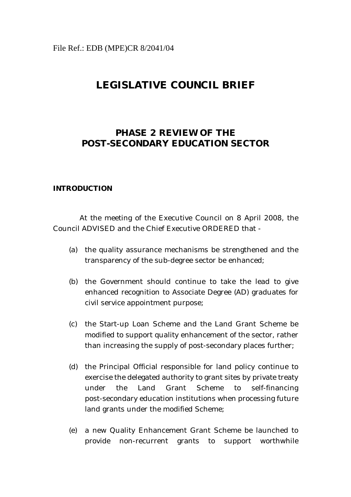# **LEGISLATIVE COUNCIL BRIEF**

# **PHASE 2 REVIEW OF THE POST-SECONDARY EDUCATION SECTOR**

#### **INTRODUCTION**

At the meeting of the Executive Council on 8 April 2008, the Council ADVISED and the Chief Executive ORDERED that -

- (a) the quality assurance mechanisms be strengthened and the transparency of the sub-degree sector be enhanced;
- (b) the Government should continue to take the lead to give enhanced recognition to Associate Degree (AD) graduates for civil service appointment purpose;
- (c) the Start-up Loan Scheme and the Land Grant Scheme be modified to support quality enhancement of the sector, rather than increasing the supply of post-secondary places further;
- (d) the Principal Official responsible for land policy continue to exercise the delegated authority to grant sites by private treaty under the Land Grant Scheme to self-financing post-secondary education institutions when processing future land grants under the modified Scheme;
- (e) a new Quality Enhancement Grant Scheme be launched to provide non-recurrent grants to support worthwhile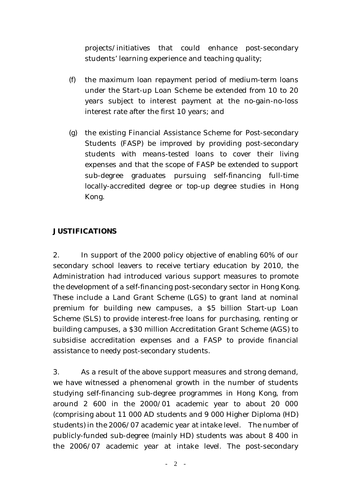projects/initiatives that could enhance post-secondary students' learning experience and teaching quality;

- (f) the maximum loan repayment period of medium-term loans under the Start-up Loan Scheme be extended from 10 to 20 years subject to interest payment at the no-gain-no-loss interest rate after the first 10 years; and
- (g) the existing Financial Assistance Scheme for Post-secondary Students (FASP) be improved by providing post-secondary students with means-tested loans to cover their living expenses and that the scope of FASP be extended to support sub-degree graduates pursuing self-financing full-time locally-accredited degree or top-up degree studies in Hong Kong.

## **JUSTIFICATIONS**

2. In support of the 2000 policy objective of enabling 60% of our secondary school leavers to receive tertiary education by 2010, the Administration had introduced various support measures to promote the development of a self-financing post-secondary sector in Hong Kong. These include a Land Grant Scheme (LGS) to grant land at nominal premium for building new campuses, a \$5 billion Start-up Loan Scheme (SLS) to provide interest-free loans for purchasing, renting or building campuses, a \$30 million Accreditation Grant Scheme (AGS) to subsidise accreditation expenses and a FASP to provide financial assistance to needy post-secondary students.

3. As a result of the above support measures and strong demand, we have witnessed a phenomenal growth in the number of students studying self-financing sub-degree programmes in Hong Kong, from around 2 600 in the 2000/01 academic year to about 20 000 (comprising about 11 000 AD students and 9 000 Higher Diploma (HD) students) in the 2006/07 academic year at intake level. The number of publicly-funded sub-degree (mainly HD) students was about 8 400 in the 2006/07 academic year at intake level. The post-secondary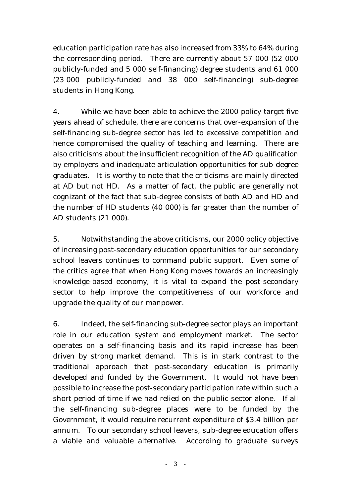education participation rate has also increased from 33% to 64% during the corresponding period. There are currently about 57 000 (52 000 publicly-funded and 5 000 self-financing) degree students and 61 000 (23 000 publicly-funded and 38 000 self-financing) sub-degree students in Hong Kong.

4. While we have been able to achieve the 2000 policy target five years ahead of schedule, there are concerns that over-expansion of the self-financing sub-degree sector has led to excessive competition and hence compromised the quality of teaching and learning. There are also criticisms about the insufficient recognition of the AD qualification by employers and inadequate articulation opportunities for sub-degree graduates. It is worthy to note that the criticisms are mainly directed at AD but not HD. As a matter of fact, the public are generally not cognizant of the fact that sub-degree consists of both AD and HD and the number of HD students (40 000) is far greater than the number of AD students (21 000).

5. Notwithstanding the above criticisms, our 2000 policy objective of increasing post-secondary education opportunities for our secondary school leavers continues to command public support. Even some of the critics agree that when Hong Kong moves towards an increasingly knowledge-based economy, it is vital to expand the post-secondary sector to help improve the competitiveness of our workforce and upgrade the quality of our manpower.

6. Indeed, the self-financing sub-degree sector plays an important role in our education system and employment market. The sector operates on a self-financing basis and its rapid increase has been driven by strong market demand. This is in stark contrast to the traditional approach that post-secondary education is primarily developed and funded by the Government. It would not have been possible to increase the post-secondary participation rate within such a short period of time if we had relied on the public sector alone. If all the self-financing sub-degree places were to be funded by the Government, it would require recurrent expenditure of \$3.4 billion per annum. To our secondary school leavers, sub-degree education offers a viable and valuable alternative. According to graduate surveys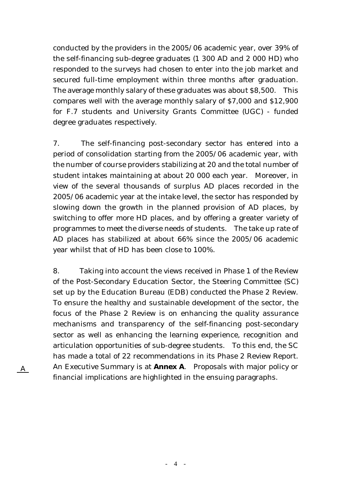conducted by the providers in the 2005/06 academic year, over 39% of the self-financing sub-degree graduates (1 300 AD and 2 000 HD) who responded to the surveys had chosen to enter into the job market and secured full-time employment within three months after graduation. The average monthly salary of these graduates was about \$8,500. This compares well with the average monthly salary of \$7,000 and \$12,900 for F.7 students and University Grants Committee (UGC) - funded degree graduates respectively.

7. The self-financing post-secondary sector has entered into a period of consolidation starting from the 2005/06 academic year, with the number of course providers stabilizing at 20 and the total number of student intakes maintaining at about 20 000 each year. Moreover, in view of the several thousands of surplus AD places recorded in the 2005/06 academic year at the intake level, the sector has responded by slowing down the growth in the planned provision of AD places, by switching to offer more HD places, and by offering a greater variety of programmes to meet the diverse needs of students. The take up rate of AD places has stabilized at about 66% since the 2005/06 academic year whilst that of HD has been close to 100%.

8. Taking into account the views received in Phase 1 of the Review of the Post-Secondary Education Sector, the Steering Committee (SC) set up by the Education Bureau (EDB) conducted the Phase 2 Review. To ensure the healthy and sustainable development of the sector, the focus of the Phase 2 Review is on enhancing the quality assurance mechanisms and transparency of the self-financing post-secondary sector as well as enhancing the learning experience, recognition and articulation opportunities of sub-degree students. To this end, the SC has made a total of 22 recommendations in its Phase 2 Review Report. An Executive Summary is at **Annex A**. Proposals with major policy or financial implications are highlighted in the ensuing paragraphs.

A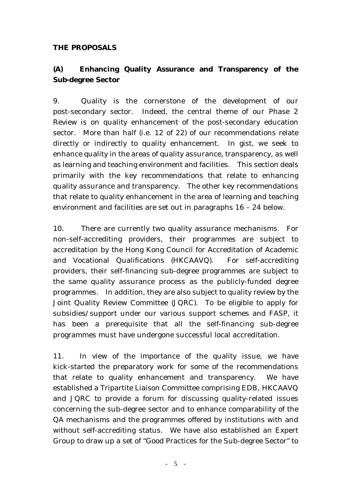#### **THE PROPOSALS**

# **(A) Enhancing Quality Assurance and Transparency of the Sub-degree Sector**

9. Quality is the cornerstone of the development of our post-secondary sector. Indeed, the central theme of our Phase 2 Review is on quality enhancement of the post-secondary education sector. More than half (i.e. 12 of 22) of our recommendations relate directly or indirectly to quality enhancement. In gist, we seek to enhance quality in the areas of quality assurance, transparency, as well as learning and teaching environment and facilities. This section deals primarily with the key recommendations that relate to enhancing quality assurance and transparency. The other key recommendations that relate to quality enhancement in the area of learning and teaching environment and facilities are set out in paragraphs 16 – 24 below.

10. There are currently two quality assurance mechanisms. For non-self-accrediting providers, their programmes are subject to accreditation by the Hong Kong Council for Accreditation of Academic and Vocational Qualifications (HKCAAVQ). For self-accrediting providers, their self-financing sub-degree programmes are subject to the same quality assurance process as the publicly-funded degree programmes. In addition, they are also subject to quality review by the Joint Quality Review Committee (JQRC). To be eligible to apply for subsidies/support under our various support schemes and FASP, it has been a prerequisite that all the self-financing sub-degree programmes must have undergone successful local accreditation.

11. In view of the importance of the quality issue, we have kick-started the preparatory work for some of the recommendations that relate to quality enhancement and transparency. We have established a Tripartite Liaison Committee comprising EDB, HKCAAVQ and JQRC to provide a forum for discussing quality-related issues concerning the sub-degree sector and to enhance comparability of the QA mechanisms and the programmes offered by institutions with and without self-accrediting status. We have also established an Expert Group to draw up a set of "Good Practices for the Sub-degree Sector" to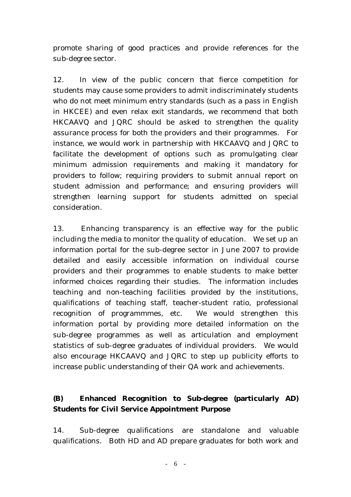promote sharing of good practices and provide references for the sub-degree sector.

12. In view of the public concern that fierce competition for students may cause some providers to admit indiscriminately students who do not meet minimum entry standards (such as a pass in English in HKCEE) and even relax exit standards, we recommend that both HKCAAVQ and JQRC should be asked to strengthen the quality assurance process for both the providers and their programmes. For instance, we would work in partnership with HKCAAVQ and JQRC to facilitate the development of options such as promulgating clear minimum admission requirements and making it mandatory for providers to follow; requiring providers to submit annual report on student admission and performance; and ensuring providers will strengthen learning support for students admitted on special consideration.

13. Enhancing transparency is an effective way for the public including the media to monitor the quality of education. We set up an information portal for the sub-degree sector in June 2007 to provide detailed and easily accessible information on individual course providers and their programmes to enable students to make better informed choices regarding their studies. The information includes teaching and non-teaching facilities provided by the institutions, qualifications of teaching staff, teacher-student ratio, professional recognition of programmmes, etc. We would strengthen this information portal by providing more detailed information on the sub-degree programmes as well as articulation and employment statistics of sub-degree graduates of individual providers. We would also encourage HKCAAVQ and JQRC to step up publicity efforts to increase public understanding of their QA work and achievements.

# **(B) Enhanced Recognition to Sub-degree (particularly AD) Students for Civil Service Appointment Purpose**

14. Sub-degree qualifications are standalone and valuable qualifications. Both HD and AD prepare graduates for both work and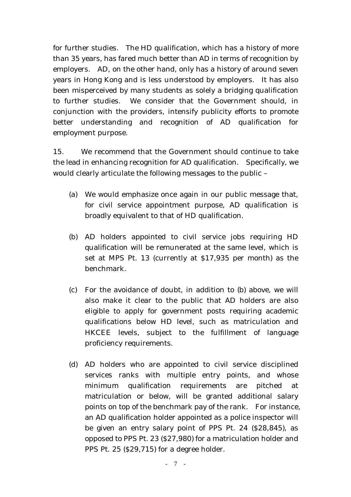for further studies. The HD qualification, which has a history of more than 35 years, has fared much better than AD in terms of recognition by employers. AD, on the other hand, only has a history of around seven years in Hong Kong and is less understood by employers. It has also been misperceived by many students as solely a bridging qualification to further studies. We consider that the Government should, in conjunction with the providers, intensify publicity efforts to promote better understanding and recognition of AD qualification for employment purpose.

15. We recommend that the Government should continue to take the lead in enhancing recognition for AD qualification. Specifically, we would clearly articulate the following messages to the public –

- (a) We would emphasize once again in our public message that, for civil service appointment purpose, AD qualification is broadly equivalent to that of HD qualification.
- (b) AD holders appointed to civil service jobs requiring HD qualification will be remunerated at the same level, which is set at MPS Pt. 13 (currently at \$17,935 per month) as the benchmark.
- (c) For the avoidance of doubt, in addition to (b) above, we will also make it clear to the public that AD holders are also eligible to apply for government posts requiring academic qualifications below HD level, such as matriculation and HKCEE levels, subject to the fulfillment of language proficiency requirements.
- (d) AD holders who are appointed to civil service disciplined services ranks with multiple entry points, and whose minimum qualification requirements are pitched at matriculation or below, will be granted additional salary points on top of the benchmark pay of the rank. For instance, an AD qualification holder appointed as a police inspector will be given an entry salary point of PPS Pt. 24 (\$28,845), as opposed to PPS Pt. 23 (\$27,980) for a matriculation holder and PPS Pt. 25 (\$29,715) for a degree holder.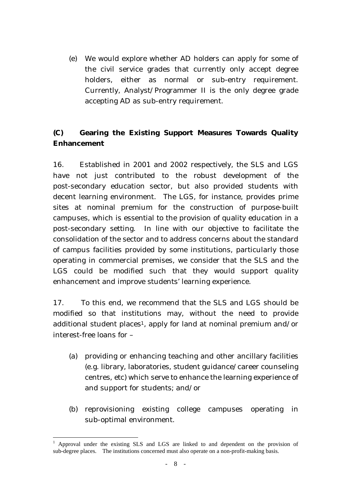(e) We would explore whether AD holders can apply for some of the civil service grades that currently only accept degree holders, either as normal or sub-entry requirement. Currently, Analyst/Programmer II is the only degree grade accepting AD as sub-entry requirement.

# **(C) Gearing the Existing Support Measures Towards Quality Enhancement**

16. Established in 2001 and 2002 respectively, the SLS and LGS have not just contributed to the robust development of the post-secondary education sector, but also provided students with decent learning environment. The LGS, for instance, provides prime sites at nominal premium for the construction of purpose-built campuses, which is essential to the provision of quality education in a post-secondary setting. In line with our objective to facilitate the consolidation of the sector and to address concerns about the standard of campus facilities provided by some institutions, particularly those operating in commercial premises, we consider that the SLS and the LGS could be modified such that they would support quality enhancement and improve students' learning experience.

17. To this end, we recommend that the SLS and LGS should be modified so that institutions may, without the need to provide additional student places<sup>1</sup>, apply for land at nominal premium and/or interest-free loans for –

- (a) providing or enhancing teaching and other ancillary facilities (e.g. library, laboratories, student guidance/career counseling centres, etc) which serve to enhance the learning experience of and support for students; and/or
- (b) reprovisioning existing college campuses operating in sub-optimal environment.

 $\overline{a}$ 1 Approval under the existing SLS and LGS are linked to and dependent on the provision of sub-degree places. The institutions concerned must also operate on a non-profit-making basis.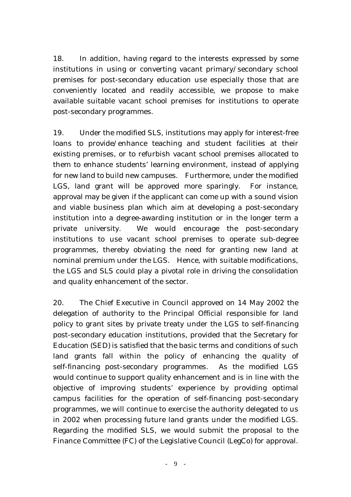18. In addition, having regard to the interests expressed by some institutions in using or converting vacant primary/secondary school premises for post-secondary education use especially those that are conveniently located and readily accessible, we propose to make available suitable vacant school premises for institutions to operate post-secondary programmes.

19. Under the modified SLS, institutions may apply for interest-free loans to provide/enhance teaching and student facilities at their existing premises, or to refurbish vacant school premises allocated to them to enhance students' learning environment, instead of applying for new land to build new campuses. Furthermore, under the modified LGS, land grant will be approved more sparingly. For instance, approval may be given if the applicant can come up with a sound vision and viable business plan which aim at developing a post-secondary institution into a degree-awarding institution or in the longer term a private university. We would encourage the post-secondary institutions to use vacant school premises to operate sub-degree programmes, thereby obviating the need for granting new land at nominal premium under the LGS. Hence, with suitable modifications, the LGS and SLS could play a pivotal role in driving the consolidation and quality enhancement of the sector.

20. The Chief Executive in Council approved on 14 May 2002 the delegation of authority to the Principal Official responsible for land policy to grant sites by private treaty under the LGS to self-financing post-secondary education institutions, provided that the Secretary for Education (SED) is satisfied that the basic terms and conditions of such land grants fall within the policy of enhancing the quality of self-financing post-secondary programmes. As the modified LGS would continue to support quality enhancement and is in line with the objective of improving students' experience by providing optimal campus facilities for the operation of self-financing post-secondary programmes, we will continue to exercise the authority delegated to us in 2002 when processing future land grants under the modified LGS. Regarding the modified SLS, we would submit the proposal to the Finance Committee (FC) of the Legislative Council (LegCo) for approval.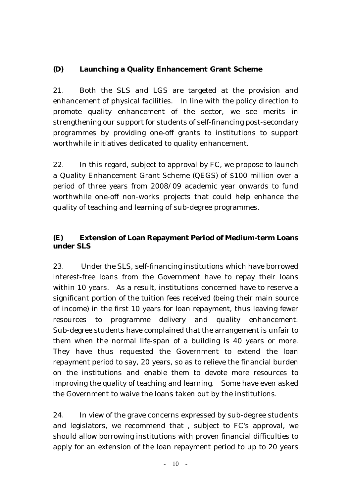## **(D) Launching a Quality Enhancement Grant Scheme**

21. Both the SLS and LGS are targeted at the provision and enhancement of physical facilities. In line with the policy direction to promote quality enhancement of the sector, we see merits in strengthening our support for students of self-financing post-secondary programmes by providing one-off grants to institutions to support worthwhile initiatives dedicated to quality enhancement.

22. In this regard, subject to approval by FC, we propose to launch a Quality Enhancement Grant Scheme (QEGS) of \$100 million over a period of three years from 2008/09 academic year onwards to fund worthwhile one-off non-works projects that could help enhance the quality of teaching and learning of sub-degree programmes.

## **(E) Extension of Loan Repayment Period of Medium-term Loans under SLS**

23. Under the SLS, self-financing institutions which have borrowed interest-free loans from the Government have to repay their loans within 10 years. As a result, institutions concerned have to reserve a significant portion of the tuition fees received (being their main source of income) in the first 10 years for loan repayment, thus leaving fewer resources to programme delivery and quality enhancement. Sub-degree students have complained that the arrangement is unfair to them when the normal life-span of a building is 40 years or more. They have thus requested the Government to extend the loan repayment period to say, 20 years, so as to relieve the financial burden on the institutions and enable them to devote more resources to improving the quality of teaching and learning. Some have even asked the Government to waive the loans taken out by the institutions.

24. In view of the grave concerns expressed by sub-degree students and legislators, we recommend that , subject to FC's approval, we should allow borrowing institutions with proven financial difficulties to apply for an extension of the loan repayment period to up to 20 years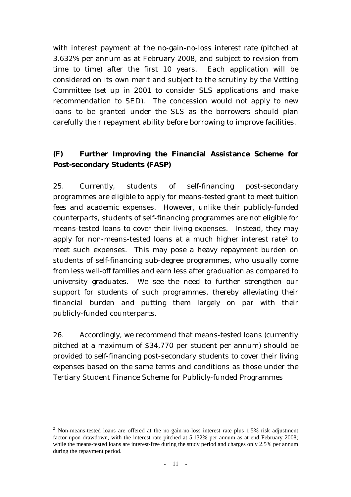with interest payment at the no-gain-no-loss interest rate (pitched at 3.632% per annum as at February 2008, and subject to revision from time to time) after the first 10 years. Each application will be considered on its own merit and subject to the scrutiny by the Vetting Committee (set up in 2001 to consider SLS applications and make recommendation to SED). The concession would not apply to new loans to be granted under the SLS as the borrowers should plan carefully their repayment ability before borrowing to improve facilities.

## **(F) Further Improving the Financial Assistance Scheme for Post-secondary Students (FASP)**

25. Currently, students of self-financing post-secondary programmes are eligible to apply for means-tested grant to meet tuition fees and academic expenses. However, unlike their publicly-funded counterparts, students of self-financing programmes are not eligible for means-tested loans to cover their living expenses. Instead, they may apply for non-means-tested loans at a much higher interest rate<sup>2</sup> to meet such expenses. This may pose a heavy repayment burden on students of self-financing sub-degree programmes, who usually come from less well-off families and earn less after graduation as compared to university graduates. We see the need to further strengthen our support for students of such programmes, thereby alleviating their financial burden and putting them largely on par with their publicly-funded counterparts.

26. Accordingly, we recommend that means-tested loans (currently pitched at a maximum of \$34,770 per student per annum) should be provided to self-financing post-secondary students to cover their living expenses based on the same terms and conditions as those under the Tertiary Student Finance Scheme for Publicly-funded Programmes

 $\overline{a}$ 

<sup>&</sup>lt;sup>2</sup> Non-means-tested loans are offered at the no-gain-no-loss interest rate plus 1.5% risk adjustment factor upon drawdown, with the interest rate pitched at 5.132% per annum as at end February 2008; while the means-tested loans are interest-free during the study period and charges only 2.5% per annum during the repayment period.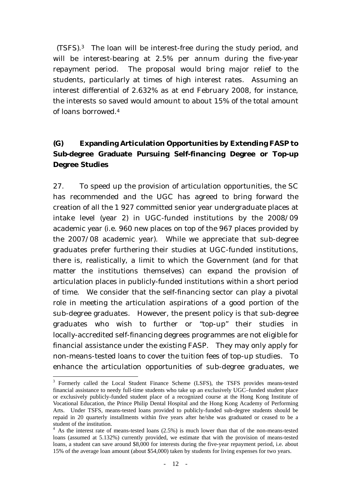(TSFS).3 The loan will be interest-free during the study period, and will be interest-bearing at 2.5% per annum during the five-year repayment period. The proposal would bring major relief to the students, particularly at times of high interest rates. Assuming an interest differential of 2.632% as at end February 2008, for instance, the interests so saved would amount to about 15% of the total amount of loans borrowed.4

# **(G) Expanding Articulation Opportunities by Extending FASP to Sub-degree Graduate Pursuing Self-financing Degree or Top-up Degree Studies**

27. To speed up the provision of articulation opportunities, the SC has recommended and the UGC has agreed to bring forward the creation of all the 1 927 committed senior year undergraduate places at intake level (year 2) in UGC-funded institutions by the 2008/09 academic year (i.e. 960 new places on top of the 967 places provided by the 2007/08 academic year). While we appreciate that sub-degree graduates prefer furthering their studies at UGC-funded institutions, there is, realistically, a limit to which the Government (and for that matter the institutions themselves) can expand the provision of articulation places in publicly-funded institutions within a short period of time. We consider that the self-financing sector can play a pivotal role in meeting the articulation aspirations of a good portion of the sub-degree graduates. However, the present policy is that sub-degree graduates who wish to further or "top-up" their studies in locally-accredited self-financing degrees programmes are not eligible for financial assistance under the existing FASP. They may only apply for non-means-tested loans to cover the tuition fees of top-up studies. To enhance the articulation opportunities of sub-degree graduates, we

<sup>&</sup>lt;sup>3</sup> Formerly called the Local Student Finance Scheme (LSFS), the TSFS provides means-tested financial assistance to needy full-time students who take up an exclusively UGC–funded student place or exclusively publicly-funded student place of a recognized course at the Hong Kong Institute of Vocational Education, the Prince Philip Dental Hospital and the Hong Kong Academy of Performing Arts. Under TSFS, means-tested loans provided to publicly-funded sub-degree students should be repaid in 20 quarterly installments within five years after he/she was graduated or ceased to be a student of the institution.

 $4$  As the interest rate of means-tested loans (2.5%) is much lower than that of the non-means-tested loans (assumed at 5.132%) currently provided, we estimate that with the provision of means-tested loans, a student can save around \$8,000 for interests during the five-year repayment period, i.e. about 15% of the average loan amount (about \$54,000) taken by students for living expenses for two years.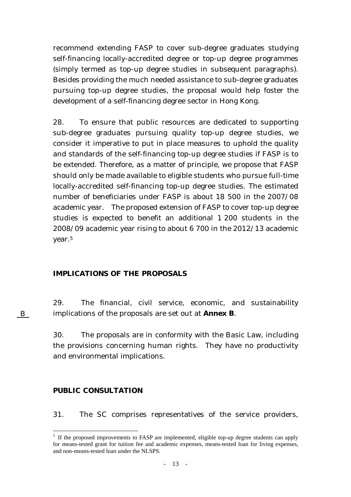recommend extending FASP to cover sub-degree graduates studying self-financing locally-accredited degree or top-up degree programmes (simply termed as top-up degree studies in subsequent paragraphs). Besides providing the much needed assistance to sub-degree graduates pursuing top-up degree studies, the proposal would help foster the development of a self-financing degree sector in Hong Kong.

28. To ensure that public resources are dedicated to supporting sub-degree graduates pursuing quality top-up degree studies, we consider it imperative to put in place measures to uphold the quality and standards of the self-financing top-up degree studies if FASP is to be extended. Therefore, as a matter of principle, we propose that FASP should only be made available to eligible students who pursue full-time locally-accredited self-financing top-up degree studies. The estimated number of beneficiaries under FASP is about 18 500 in the 2007/08 academic year. The proposed extension of FASP to cover top-up degree studies is expected to benefit an additional 1 200 students in the 2008/09 academic year rising to about 6 700 in the 2012/13 academic year.5

#### **IMPLICATIONS OF THE PROPOSALS**

29. The financial, civil service, economic, and sustainability implications of the proposals are set out at **Annex B**.

30. The proposals are in conformity with the Basic Law, including the provisions concerning human rights. They have no productivity and environmental implications.

#### **PUBLIC CONSULTATION**

 $\overline{a}$ 

B

31. The SC comprises representatives of the service providers,

<sup>&</sup>lt;sup>5</sup> If the proposed improvements to FASP are implemented, eligible top-up degree students can apply for means-tested grant for tuition fee and academic expenses, means-tested loan for living expenses, and non-means-tested loan under the NLSPS.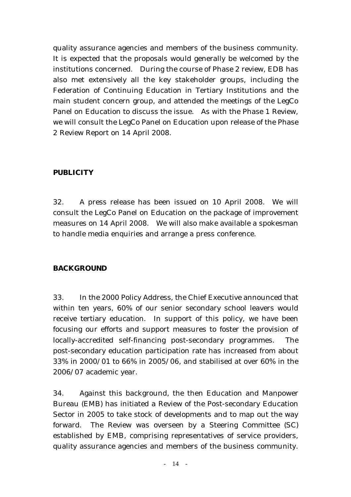quality assurance agencies and members of the business community. It is expected that the proposals would generally be welcomed by the institutions concerned. During the course of Phase 2 review, EDB has also met extensively all the key stakeholder groups, including the Federation of Continuing Education in Tertiary Institutions and the main student concern group, and attended the meetings of the LegCo Panel on Education to discuss the issue. As with the Phase 1 Review, we will consult the LegCo Panel on Education upon release of the Phase 2 Review Report on 14 April 2008.

## **PUBLICITY**

32. A press release has been issued on 10 April 2008. We will consult the LegCo Panel on Education on the package of improvement measures on 14 April 2008. We will also make available a spokesman to handle media enquiries and arrange a press conference.

#### **BACKGROUND**

33. In the 2000 Policy Address, the Chief Executive announced that within ten years, 60% of our senior secondary school leavers would receive tertiary education. In support of this policy, we have been focusing our efforts and support measures to foster the provision of locally-accredited self-financing post-secondary programmes. The post-secondary education participation rate has increased from about 33% in 2000/01 to 66% in 2005/06, and stabilised at over 60% in the 2006/07 academic year.

34. Against this background, the then Education and Manpower Bureau (EMB) has initiated a Review of the Post-secondary Education Sector in 2005 to take stock of developments and to map out the way forward. The Review was overseen by a Steering Committee (SC) established by EMB, comprising representatives of service providers, quality assurance agencies and members of the business community.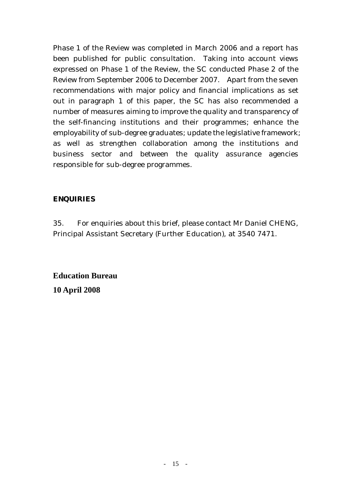Phase 1 of the Review was completed in March 2006 and a report has been published for public consultation. Taking into account views expressed on Phase 1 of the Review, the SC conducted Phase 2 of the Review from September 2006 to December 2007. Apart from the seven recommendations with major policy and financial implications as set out in paragraph 1 of this paper, the SC has also recommended a number of measures aiming to improve the quality and transparency of the self-financing institutions and their programmes; enhance the employability of sub-degree graduates; update the legislative framework; as well as strengthen collaboration among the institutions and business sector and between the quality assurance agencies responsible for sub-degree programmes.

## **ENQUIRIES**

35. For enquiries about this brief, please contact Mr Daniel CHENG, Principal Assistant Secretary (Further Education), at 3540 7471.

**Education Bureau 10 April 2008**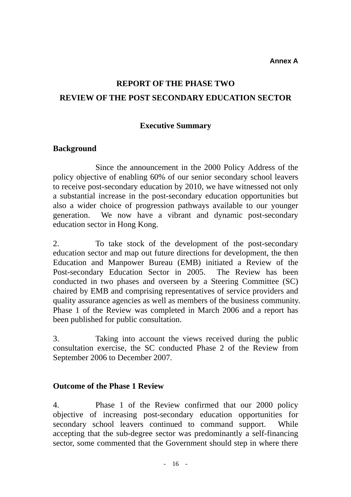**Annex A** 

# **REPORT OF THE PHASE TWO REVIEW OF THE POST SECONDARY EDUCATION SECTOR**

## **Executive Summary**

## **Background**

Since the announcement in the 2000 Policy Address of the policy objective of enabling 60% of our senior secondary school leavers to receive post-secondary education by 2010, we have witnessed not only a substantial increase in the post-secondary education opportunities but also a wider choice of progression pathways available to our younger generation. We now have a vibrant and dynamic post-secondary education sector in Hong Kong.

2. To take stock of the development of the post-secondary education sector and map out future directions for development, the then Education and Manpower Bureau (EMB) initiated a Review of the Post-secondary Education Sector in 2005. The Review has been conducted in two phases and overseen by a Steering Committee (SC) chaired by EMB and comprising representatives of service providers and quality assurance agencies as well as members of the business community. Phase 1 of the Review was completed in March 2006 and a report has been published for public consultation.

3. Taking into account the views received during the public consultation exercise, the SC conducted Phase 2 of the Review from September 2006 to December 2007.

## **Outcome of the Phase 1 Review**

4. Phase 1 of the Review confirmed that our 2000 policy objective of increasing post-secondary education opportunities for secondary school leavers continued to command support. While accepting that the sub-degree sector was predominantly a self-financing sector, some commented that the Government should step in where there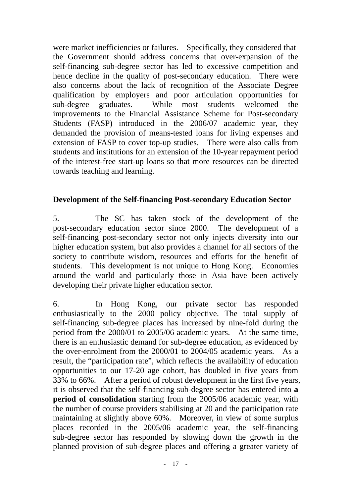were market inefficiencies or failures. Specifically, they considered that the Government should address concerns that over-expansion of the self-financing sub-degree sector has led to excessive competition and hence decline in the quality of post-secondary education. There were also concerns about the lack of recognition of the Associate Degree qualification by employers and poor articulation opportunities for sub-degree graduates. While most students welcomed the improvements to the Financial Assistance Scheme for Post-secondary Students (FASP) introduced in the 2006/07 academic year, they demanded the provision of means-tested loans for living expenses and extension of FASP to cover top-up studies. There were also calls from students and institutions for an extension of the 10-year repayment period of the interest-free start-up loans so that more resources can be directed towards teaching and learning.

# **Development of the Self-financing Post-secondary Education Sector**

5. The SC has taken stock of the development of the post-secondary education sector since 2000. The development of a self-financing post-secondary sector not only injects diversity into our higher education system, but also provides a channel for all sectors of the society to contribute wisdom, resources and efforts for the benefit of students. This development is not unique to Hong Kong. Economies around the world and particularly those in Asia have been actively developing their private higher education sector.

6. In Hong Kong, our private sector has responded enthusiastically to the 2000 policy objective. The total supply of self-financing sub-degree places has increased by nine-fold during the period from the 2000/01 to 2005/06 academic years. At the same time, there is an enthusiastic demand for sub-degree education, as evidenced by the over-enrolment from the 2000/01 to 2004/05 academic years. As a result, the "participation rate", which reflects the availability of education opportunities to our 17-20 age cohort, has doubled in five years from 33% to 66%. After a period of robust development in the first five years, it is observed that the self-financing sub-degree sector has entered into **a period of consolidation** starting from the 2005/06 academic year, with the number of course providers stabilising at 20 and the participation rate maintaining at slightly above 60%. Moreover, in view of some surplus places recorded in the 2005/06 academic year, the self-financing sub-degree sector has responded by slowing down the growth in the planned provision of sub-degree places and offering a greater variety of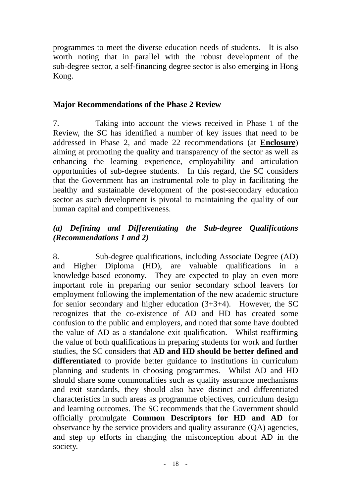programmes to meet the diverse education needs of students. It is also worth noting that in parallel with the robust development of the sub-degree sector, a self-financing degree sector is also emerging in Hong Kong.

# **Major Recommendations of the Phase 2 Review**

7. Taking into account the views received in Phase 1 of the Review, the SC has identified a number of key issues that need to be addressed in Phase 2, and made 22 recommendations (at **Enclosure**) aiming at promoting the quality and transparency of the sector as well as enhancing the learning experience, employability and articulation opportunities of sub-degree students. In this regard, the SC considers that the Government has an instrumental role to play in facilitating the healthy and sustainable development of the post-secondary education sector as such development is pivotal to maintaining the quality of our human capital and competitiveness.

# *(a) Defining and Differentiating the Sub-degree Qualifications (Recommendations 1 and 2)*

8. Sub-degree qualifications, including Associate Degree (AD) and Higher Diploma (HD), are valuable qualifications in a knowledge-based economy. They are expected to play an even more important role in preparing our senior secondary school leavers for employment following the implementation of the new academic structure for secondary and higher education  $(3+3+4)$ . However, the SC recognizes that the co-existence of AD and HD has created some confusion to the public and employers, and noted that some have doubted the value of AD as a standalone exit qualification. Whilst reaffirming the value of both qualifications in preparing students for work and further studies, the SC considers that **AD and HD should be better defined and differentiated** to provide better guidance to institutions in curriculum planning and students in choosing programmes. Whilst AD and HD should share some commonalities such as quality assurance mechanisms and exit standards, they should also have distinct and differentiated characteristics in such areas as programme objectives, curriculum design and learning outcomes. The SC recommends that the Government should officially promulgate **Common Descriptors for HD and AD** for observance by the service providers and quality assurance (QA) agencies, and step up efforts in changing the misconception about AD in the society.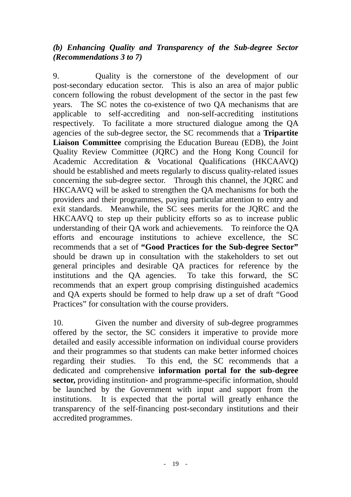# *(b) Enhancing Quality and Transparency of the Sub-degree Sector (Recommendations 3 to 7)*

9. Quality is the cornerstone of the development of our post-secondary education sector. This is also an area of major public concern following the robust development of the sector in the past few years. The SC notes the co-existence of two QA mechanisms that are applicable to self-accrediting and non-self-accrediting institutions respectively. To facilitate a more structured dialogue among the QA agencies of the sub-degree sector, the SC recommends that a **Tripartite Liaison Committee** comprising the Education Bureau (EDB), the Joint Quality Review Committee (JQRC) and the Hong Kong Council for Academic Accreditation & Vocational Qualifications (HKCAAVQ) should be established and meets regularly to discuss quality-related issues concerning the sub-degree sector. Through this channel, the JQRC and HKCAAVQ will be asked to strengthen the QA mechanisms for both the providers and their programmes, paying particular attention to entry and exit standards. Meanwhile, the SC sees merits for the JQRC and the HKCAAVQ to step up their publicity efforts so as to increase public understanding of their QA work and achievements. To reinforce the QA efforts and encourage institutions to achieve excellence, the SC recommends that a set of **"Good Practices for the Sub-degree Sector"**  should be drawn up in consultation with the stakeholders to set out general principles and desirable QA practices for reference by the institutions and the QA agencies. To take this forward, the SC recommends that an expert group comprising distinguished academics and QA experts should be formed to help draw up a set of draft "Good Practices" for consultation with the course providers.

10. Given the number and diversity of sub-degree programmes offered by the sector, the SC considers it imperative to provide more detailed and easily accessible information on individual course providers and their programmes so that students can make better informed choices regarding their studies. To this end, the SC recommends that a dedicated and comprehensive **information portal for the sub-degree sector,** providing institution- and programme-specific information, should be launched by the Government with input and support from the institutions. It is expected that the portal will greatly enhance the transparency of the self-financing post-secondary institutions and their accredited programmes.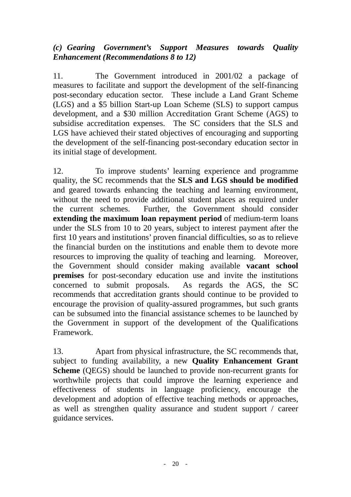# *(c) Gearing Government's Support Measures towards Quality Enhancement (Recommendations 8 to 12)*

11. The Government introduced in 2001/02 a package of measures to facilitate and support the development of the self-financing post-secondary education sector. These include a Land Grant Scheme (LGS) and a \$5 billion Start-up Loan Scheme (SLS) to support campus development, and a \$30 million Accreditation Grant Scheme (AGS) to subsidise accreditation expenses. The SC considers that the SLS and LGS have achieved their stated objectives of encouraging and supporting the development of the self-financing post-secondary education sector in its initial stage of development.

12. To improve students' learning experience and programme quality, the SC recommends that the **SLS and LGS should be modified**  and geared towards enhancing the teaching and learning environment, without the need to provide additional student places as required under the current schemes. Further, the Government should consider **extending the maximum loan repayment period** of medium-term loans under the SLS from 10 to 20 years, subject to interest payment after the first 10 years and institutions' proven financial difficulties, so as to relieve the financial burden on the institutions and enable them to devote more resources to improving the quality of teaching and learning. Moreover, the Government should consider making available **vacant school premises** for post-secondary education use and invite the institutions concerned to submit proposals. As regards the AGS, the SC recommends that accreditation grants should continue to be provided to encourage the provision of quality-assured programmes, but such grants can be subsumed into the financial assistance schemes to be launched by the Government in support of the development of the Qualifications Framework.

13. Apart from physical infrastructure, the SC recommends that, subject to funding availability, a new **Quality Enhancement Grant Scheme** (QEGS) should be launched to provide non-recurrent grants for worthwhile projects that could improve the learning experience and effectiveness of students in language proficiency, encourage the development and adoption of effective teaching methods or approaches, as well as strengthen quality assurance and student support / career guidance services.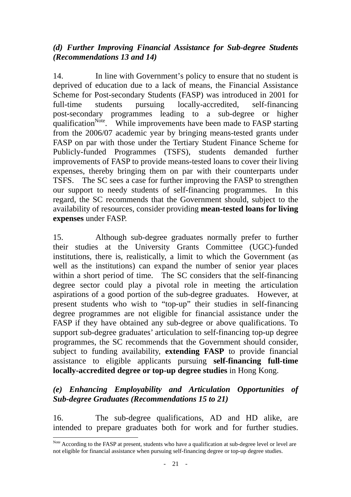# *(d) Further Improving Financial Assistance for Sub-degree Students (Recommendations 13 and 14)*

14. In line with Government's policy to ensure that no student is deprived of education due to a lack of means, the Financial Assistance Scheme for Post-secondary Students (FASP) was introduced in 2001 for full-time students pursuing locally-accredited, self-financing post-secondary programmes leading to a sub-degree or higher qualification<sup>Note</sup>. While improvements have been made to FASP starting from the 2006/07 academic year by bringing means-tested grants under FASP on par with those under the Tertiary Student Finance Scheme for Publicly-funded Programmes (TSFS), students demanded further improvements of FASP to provide means-tested loans to cover their living expenses, thereby bringing them on par with their counterparts under TSFS. The SC sees a case for further improving the FASP to strengthen our support to needy students of self-financing programmes. In this regard, the SC recommends that the Government should, subject to the availability of resources, consider providing **mean-tested loans for living expenses** under FASP.

15. Although sub-degree graduates normally prefer to further their studies at the University Grants Committee (UGC)-funded institutions, there is, realistically, a limit to which the Government (as well as the institutions) can expand the number of senior year places within a short period of time. The SC considers that the self-financing degree sector could play a pivotal role in meeting the articulation aspirations of a good portion of the sub-degree graduates. However, at present students who wish to "top-up" their studies in self-financing degree programmes are not eligible for financial assistance under the FASP if they have obtained any sub-degree or above qualifications. To support sub-degree graduates' articulation to self-financing top-up degree programmes, the SC recommends that the Government should consider, subject to funding availability, **extending FASP** to provide financial assistance to eligible applicants pursuing **self-financing full-time locally-accredited degree or top-up degree studies** in Hong Kong.

# *(e) Enhancing Employability and Articulation Opportunities of Sub-degree Graduates (Recommendations 15 to 21)*

16. The sub-degree qualifications, AD and HD alike, are intended to prepare graduates both for work and for further studies.

 $\overline{a}$ 

Note According to the FASP at present, students who have a qualification at sub-degree level or level are not eligible for financial assistance when pursuing self-financing degree or top-up degree studies.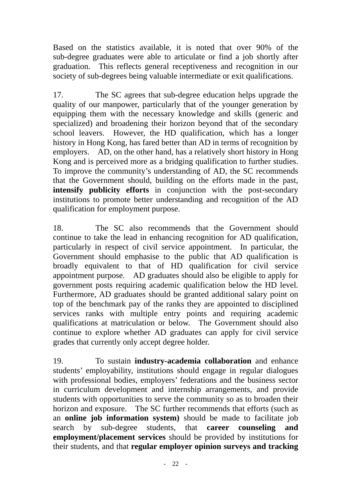Based on the statistics available, it is noted that over 90% of the sub-degree graduates were able to articulate or find a job shortly after graduation. This reflects general receptiveness and recognition in our society of sub-degrees being valuable intermediate or exit qualifications.

17. The SC agrees that sub-degree education helps upgrade the quality of our manpower, particularly that of the younger generation by equipping them with the necessary knowledge and skills (generic and specialized) and broadening their horizon beyond that of the secondary school leavers. However, the HD qualification, which has a longer history in Hong Kong, has fared better than AD in terms of recognition by employers. AD, on the other hand, has a relatively short history in Hong Kong and is perceived more as a bridging qualification to further studies. To improve the community's understanding of AD, the SC recommends that the Government should, building on the efforts made in the past, **intensify publicity efforts** in conjunction with the post-secondary institutions to promote better understanding and recognition of the AD qualification for employment purpose.

18. The SC also recommends that the Government should continue to take the lead in enhancing recognition for AD qualification, particularly in respect of civil service appointment. In particular, the Government should emphasise to the public that AD qualification is broadly equivalent to that of HD qualification for civil service appointment purpose. AD graduates should also be eligible to apply for government posts requiring academic qualification below the HD level. Furthermore, AD graduates should be granted additional salary point on top of the benchmark pay of the ranks they are appointed to disciplined services ranks with multiple entry points and requiring academic qualifications at matriculation or below. The Government should also continue to explore whether AD graduates can apply for civil service grades that currently only accept degree holder.

19. To sustain **industry-academia collaboration** and enhance students' employability, institutions should engage in regular dialogues with professional bodies, employers' federations and the business sector in curriculum development and internship arrangements, and provide students with opportunities to serve the community so as to broaden their horizon and exposure. The SC further recommends that efforts (such as an **online job information system)** should be made to facilitate job search by sub-degree students, that **career counseling and employment/placement services** should be provided by institutions for their students, and that **regular employer opinion surveys and tracking**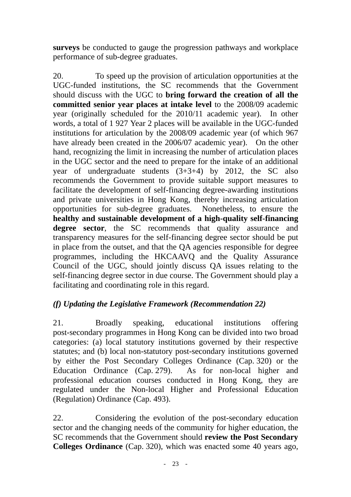**surveys** be conducted to gauge the progression pathways and workplace performance of sub-degree graduates.

20. To speed up the provision of articulation opportunities at the UGC-funded institutions, the SC recommends that the Government should discuss with the UGC to **bring forward the creation of all the committed senior year places at intake level** to the 2008/09 academic year (originally scheduled for the 2010/11 academic year). In other words, a total of 1 927 Year 2 places will be available in the UGC-funded institutions for articulation by the 2008/09 academic year (of which 967 have already been created in the 2006/07 academic year). On the other hand, recognizing the limit in increasing the number of articulation places in the UGC sector and the need to prepare for the intake of an additional year of undergraduate students  $(3+3+4)$  by 2012, the SC also recommends the Government to provide suitable support measures to facilitate the development of self-financing degree-awarding institutions and private universities in Hong Kong, thereby increasing articulation opportunities for sub-degree graduates. Nonetheless, to ensure the **healthy and sustainable development of a high-quality self-financing degree sector**, the SC recommends that quality assurance and transparency measures for the self-financing degree sector should be put in place from the outset, and that the QA agencies responsible for degree programmes, including the HKCAAVQ and the Quality Assurance Council of the UGC, should jointly discuss QA issues relating to the self-financing degree sector in due course. The Government should play a facilitating and coordinating role in this regard.

# *(f) Updating the Legislative Framework (Recommendation 22)*

21. Broadly speaking, educational institutions offering post-secondary programmes in Hong Kong can be divided into two broad categories: (a) local statutory institutions governed by their respective statutes; and (b) local non-statutory post-secondary institutions governed by either the Post Secondary Colleges Ordinance (Cap. 320) or the Education Ordinance (Cap. 279). As for non-local higher and professional education courses conducted in Hong Kong, they are regulated under the Non-local Higher and Professional Education (Regulation) Ordinance (Cap. 493).

22. Considering the evolution of the post-secondary education sector and the changing needs of the community for higher education, the SC recommends that the Government should **review the Post Secondary Colleges Ordinance** (Cap. 320), which was enacted some 40 years ago,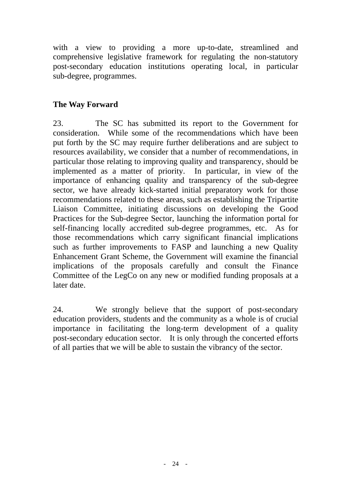with a view to providing a more up-to-date, streamlined and comprehensive legislative framework for regulating the non-statutory post-secondary education institutions operating local, in particular sub-degree, programmes.

# **The Way Forward**

23. The SC has submitted its report to the Government for consideration. While some of the recommendations which have been put forth by the SC may require further deliberations and are subject to resources availability, we consider that a number of recommendations, in particular those relating to improving quality and transparency, should be implemented as a matter of priority. In particular, in view of the importance of enhancing quality and transparency of the sub-degree sector, we have already kick-started initial preparatory work for those recommendations related to these areas, such as establishing the Tripartite Liaison Committee, initiating discussions on developing the Good Practices for the Sub-degree Sector, launching the information portal for self-financing locally accredited sub-degree programmes, etc. As for those recommendations which carry significant financial implications such as further improvements to FASP and launching a new Quality Enhancement Grant Scheme, the Government will examine the financial implications of the proposals carefully and consult the Finance Committee of the LegCo on any new or modified funding proposals at a later date.

24. We strongly believe that the support of post-secondary education providers, students and the community as a whole is of crucial importance in facilitating the long-term development of a quality post-secondary education sector. It is only through the concerted efforts of all parties that we will be able to sustain the vibrancy of the sector.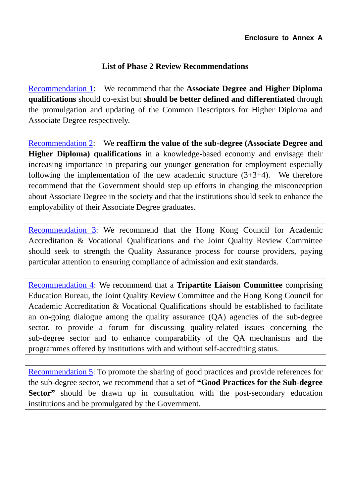## **List of Phase 2 Review Recommendations**

Recommendation 1: We recommend that the **Associate Degree and Higher Diploma qualifications** should co-exist but **should be better defined and differentiated** through the promulgation and updating of the Common Descriptors for Higher Diploma and Associate Degree respectively.

Recommendation 2: We **reaffirm the value of the sub-degree (Associate Degree and Higher Diploma) qualifications** in a knowledge-based economy and envisage their increasing importance in preparing our younger generation for employment especially following the implementation of the new academic structure  $(3+3+4)$ . We therefore recommend that the Government should step up efforts in changing the misconception about Associate Degree in the society and that the institutions should seek to enhance the employability of their Associate Degree graduates.

Recommendation 3: We recommend that the Hong Kong Council for Academic Accreditation & Vocational Qualifications and the Joint Quality Review Committee should seek to strength the Quality Assurance process for course providers, paying particular attention to ensuring compliance of admission and exit standards.

Recommendation 4: We recommend that a **Tripartite Liaison Committee** comprising Education Bureau, the Joint Quality Review Committee and the Hong Kong Council for Academic Accreditation & Vocational Qualifications should be established to facilitate an on-going dialogue among the quality assurance (QA) agencies of the sub-degree sector, to provide a forum for discussing quality-related issues concerning the sub-degree sector and to enhance comparability of the QA mechanisms and the programmes offered by institutions with and without self-accrediting status.

Recommendation 5: To promote the sharing of good practices and provide references for the sub-degree sector, we recommend that a set of **"Good Practices for the Sub-degree Sector**" should be drawn up in consultation with the post-secondary education institutions and be promulgated by the Government.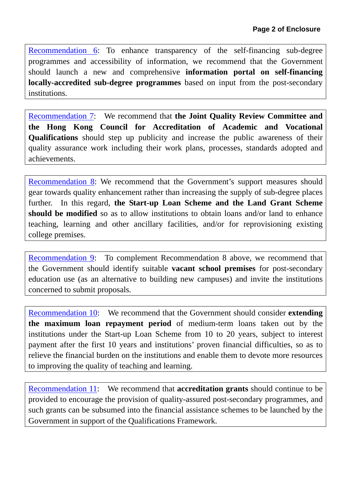Recommendation 6: To enhance transparency of the self-financing sub-degree programmes and accessibility of information, we recommend that the Government should launch a new and comprehensive **information portal on self-financing locally-accredited sub-degree programmes** based on input from the post-secondary institutions.

Recommendation 7: We recommend that **the Joint Quality Review Committee and the Hong Kong Council for Accreditation of Academic and Vocational Qualifications** should step up publicity and increase the public awareness of their quality assurance work including their work plans, processes, standards adopted and achievements.

Recommendation 8: We recommend that the Government's support measures should gear towards quality enhancement rather than increasing the supply of sub-degree places further. In this regard, **the Start-up Loan Scheme and the Land Grant Scheme should be modified** so as to allow institutions to obtain loans and/or land to enhance teaching, learning and other ancillary facilities, and/or for reprovisioning existing college premises.

Recommendation 9: To complement Recommendation 8 above, we recommend that the Government should identify suitable **vacant school premises** for post-secondary education use (as an alternative to building new campuses) and invite the institutions concerned to submit proposals.

Recommendation 10: We recommend that the Government should consider **extending the maximum loan repayment period** of medium-term loans taken out by the institutions under the Start-up Loan Scheme from 10 to 20 years, subject to interest payment after the first 10 years and institutions' proven financial difficulties, so as to relieve the financial burden on the institutions and enable them to devote more resources to improving the quality of teaching and learning.

Recommendation 11: We recommend that **accreditation grants** should continue to be provided to encourage the provision of quality-assured post-secondary programmes, and such grants can be subsumed into the financial assistance schemes to be launched by the Government in support of the Qualifications Framework.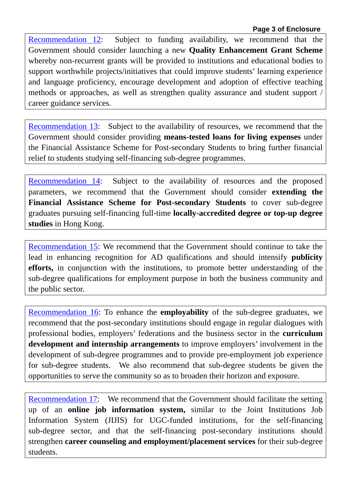Recommendation 12: Subject to funding availability, we recommend that the Government should consider launching a new **Quality Enhancement Grant Scheme**  whereby non-recurrent grants will be provided to institutions and educational bodies to support worthwhile projects/initiatives that could improve students' learning experience and language proficiency, encourage development and adoption of effective teaching methods or approaches, as well as strengthen quality assurance and student support / career guidance services.

Recommendation 13: Subject to the availability of resources, we recommend that the Government should consider providing **means-tested loans for living expenses** under the Financial Assistance Scheme for Post-secondary Students to bring further financial relief to students studying self-financing sub-degree programmes.

Recommendation 14: Subject to the availability of resources and the proposed parameters, we recommend that the Government should consider **extending the Financial Assistance Scheme for Post-secondary Students** to cover sub-degree graduates pursuing self-financing full-time **locally-accredited degree or top-up degree studies** in Hong Kong.

Recommendation 15: We recommend that the Government should continue to take the lead in enhancing recognition for AD qualifications and should intensify **publicity efforts,** in conjunction with the institutions, to promote better understanding of the sub-degree qualifications for employment purpose in both the business community and the public sector.

Recommendation 16: To enhance the **employability** of the sub-degree graduates, we recommend that the post-secondary institutions should engage in regular dialogues with professional bodies, employers' federations and the business sector in the **curriculum development and internship arrangements** to improve employers' involvement in the development of sub-degree programmes and to provide pre-employment job experience for sub-degree students. We also recommend that sub-degree students be given the opportunities to serve the community so as to broaden their horizon and exposure.

Recommendation 17: We recommend that the Government should facilitate the setting up of an **online job information system,** similar to the Joint Institutions Job Information System (JIJIS) for UGC-funded institutions, for the self-financing sub-degree sector, and that the self-financing post-secondary institutions should strengthen **career counseling and employment/placement services** for their sub-degree students.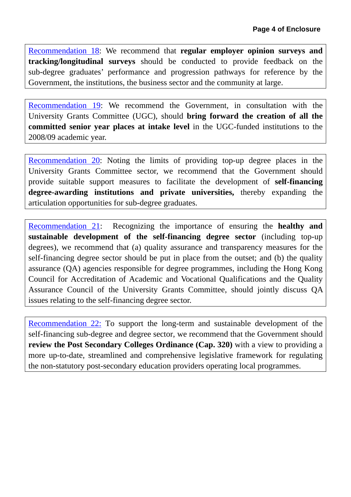Recommendation 18: We recommend that **regular employer opinion surveys and tracking/longitudinal surveys** should be conducted to provide feedback on the sub-degree graduates' performance and progression pathways for reference by the Government, the institutions, the business sector and the community at large.

Recommendation 19: We recommend the Government, in consultation with the University Grants Committee (UGC), should **bring forward the creation of all the committed senior year places at intake level** in the UGC-funded institutions to the 2008/09 academic year.

Recommendation 20: Noting the limits of providing top-up degree places in the University Grants Committee sector, we recommend that the Government should provide suitable support measures to facilitate the development of **self-financing degree-awarding institutions and private universities,** thereby expanding the articulation opportunities for sub-degree graduates.

Recommendation 21: Recognizing the importance of ensuring the **healthy and sustainable development of the self-financing degree sector** (including top-up degrees), we recommend that (a) quality assurance and transparency measures for the self-financing degree sector should be put in place from the outset; and (b) the quality assurance (QA) agencies responsible for degree programmes, including the Hong Kong Council for Accreditation of Academic and Vocational Qualifications and the Quality Assurance Council of the University Grants Committee, should jointly discuss QA issues relating to the self-financing degree sector.

Recommendation 22: To support the long-term and sustainable development of the self-financing sub-degree and degree sector, we recommend that the Government should **review the Post Secondary Colleges Ordinance (Cap. 320)** with a view to providing a more up-to-date, streamlined and comprehensive legislative framework for regulating the non-statutory post-secondary education providers operating local programmes.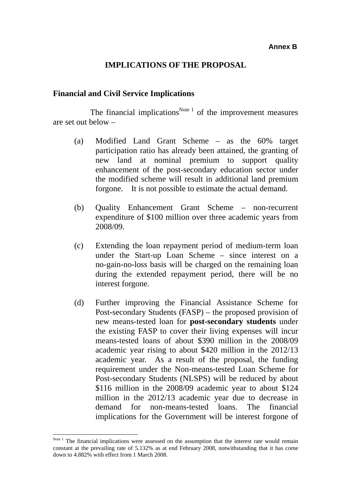#### **IMPLICATIONS OF THE PROPOSAL**

#### **Financial and Civil Service Implications**

The financial implications<sup>Note 1</sup> of the improvement measures are set out below –

- (a) Modified Land Grant Scheme as the 60% target participation ratio has already been attained, the granting of new land at nominal premium to support quality enhancement of the post-secondary education sector under the modified scheme will result in additional land premium forgone. It is not possible to estimate the actual demand.
- (b) Quality Enhancement Grant Scheme non-recurrent expenditure of \$100 million over three academic years from 2008/09.
- (c) Extending the loan repayment period of medium-term loan under the Start-up Loan Scheme – since interest on a no-gain-no-loss basis will be charged on the remaining loan during the extended repayment period, there will be no interest forgone.
- (d) Further improving the Financial Assistance Scheme for Post-secondary Students (FASP) – the proposed provision of new means-tested loan for **post-secondary students** under the existing FASP to cover their living expenses will incur means-tested loans of about \$390 million in the 2008/09 academic year rising to about \$420 million in the 2012/13 academic year. As a result of the proposal, the funding requirement under the Non-means-tested Loan Scheme for Post-secondary Students (NLSPS) will be reduced by about \$116 million in the 2008/09 academic year to about \$124 million in the 2012/13 academic year due to decrease in demand for non-means-tested loans. The financial implications for the Government will be interest forgone of

 $\overline{a}$ 

Note 1 The financial implications were assessed on the assumption that the interest rate would remain constant at the prevailing rate of 5.132% as at end February 2008, notwithstanding that it has come down to 4.882% with effect from 1 March 2008.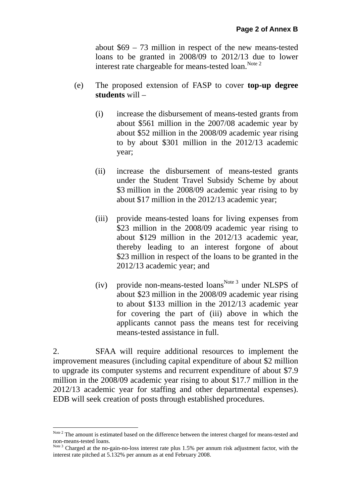about \$69 – 73 million in respect of the new means-tested loans to be granted in 2008/09 to 2012/13 due to lower interest rate chargeable for means-tested loan.<sup>Note 2</sup>

- (e) The proposed extension of FASP to cover **top-up degree students** will –
	- (i) increase the disbursement of means-tested grants from about \$561 million in the 2007/08 academic year by about \$52 million in the 2008/09 academic year rising to by about \$301 million in the 2012/13 academic year;
	- (ii) increase the disbursement of means-tested grants under the Student Travel Subsidy Scheme by about \$3 million in the 2008/09 academic year rising to by about \$17 million in the 2012/13 academic year;
	- (iii) provide means-tested loans for living expenses from \$23 million in the 2008/09 academic year rising to about \$129 million in the 2012/13 academic year, thereby leading to an interest forgone of about \$23 million in respect of the loans to be granted in the 2012/13 academic year; and
	- (iv) provide non-means-tested loans<sup>Note 3</sup> under NLSPS of about \$23 million in the 2008/09 academic year rising to about \$133 million in the 2012/13 academic year for covering the part of (iii) above in which the applicants cannot pass the means test for receiving means-tested assistance in full.

2. SFAA will require additional resources to implement the improvement measures (including capital expenditure of about \$2 million to upgrade its computer systems and recurrent expenditure of about \$7.9 million in the 2008/09 academic year rising to about \$17.7 million in the 2012/13 academic year for staffing and other departmental expenses). EDB will seek creation of posts through established procedures.

 $\overline{a}$ 

Note <sup>2</sup> The amount is estimated based on the difference between the interest charged for means-tested and non-means-tested loans.

Note<sup>3</sup> Charged at the no-gain-no-loss interest rate plus 1.5% per annum risk adjustment factor, with the interest rate pitched at 5.132% per annum as at end February 2008.